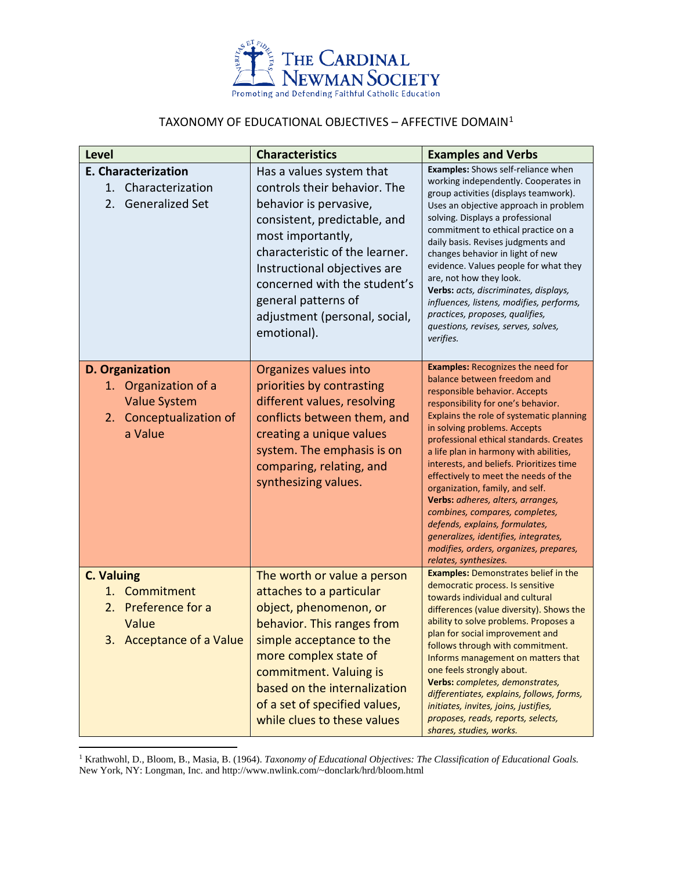

## TAXONOMY OF EDUCATIONAL OBJECTIVES – AFFECTIVE DOMAIN[1](#page-0-0)

| Level                                                                                                      | <b>Characteristics</b>                                                                                                                                                                                                                                                                                           | <b>Examples and Verbs</b>                                                                                                                                                                                                                                                                                                                                                                                                                                                                                                                                                                                                                                  |
|------------------------------------------------------------------------------------------------------------|------------------------------------------------------------------------------------------------------------------------------------------------------------------------------------------------------------------------------------------------------------------------------------------------------------------|------------------------------------------------------------------------------------------------------------------------------------------------------------------------------------------------------------------------------------------------------------------------------------------------------------------------------------------------------------------------------------------------------------------------------------------------------------------------------------------------------------------------------------------------------------------------------------------------------------------------------------------------------------|
| <b>E. Characterization</b><br>Characterization<br>1.<br>2. Generalized Set                                 | Has a values system that<br>controls their behavior. The<br>behavior is pervasive,<br>consistent, predictable, and<br>most importantly,<br>characteristic of the learner.<br>Instructional objectives are<br>concerned with the student's<br>general patterns of<br>adjustment (personal, social,<br>emotional). | Examples: Shows self-reliance when<br>working independently. Cooperates in<br>group activities (displays teamwork).<br>Uses an objective approach in problem<br>solving. Displays a professional<br>commitment to ethical practice on a<br>daily basis. Revises judgments and<br>changes behavior in light of new<br>evidence. Values people for what they<br>are, not how they look.<br>Verbs: acts, discriminates, displays,<br>influences, listens, modifies, performs,<br>practices, proposes, qualifies,<br>questions, revises, serves, solves,<br>verifies.                                                                                          |
| D. Organization<br>Organization of a<br>1.<br><b>Value System</b><br>Conceptualization of<br>2.<br>a Value | Organizes values into<br>priorities by contrasting<br>different values, resolving<br>conflicts between them, and<br>creating a unique values<br>system. The emphasis is on<br>comparing, relating, and<br>synthesizing values.                                                                                   | <b>Examples: Recognizes the need for</b><br>balance between freedom and<br>responsible behavior. Accepts<br>responsibility for one's behavior.<br>Explains the role of systematic planning<br>in solving problems. Accepts<br>professional ethical standards. Creates<br>a life plan in harmony with abilities,<br>interests, and beliefs. Prioritizes time<br>effectively to meet the needs of the<br>organization, family, and self.<br>Verbs: adheres, alters, arranges,<br>combines, compares, completes,<br>defends, explains, formulates,<br>generalizes, identifies, integrates,<br>modifies, orders, organizes, prepares,<br>relates, synthesizes. |
| <b>C. Valuing</b><br>1. Commitment<br>2. Preference for a<br>Value<br>3. Acceptance of a Value             | The worth or value a person<br>attaches to a particular<br>object, phenomenon, or<br>behavior. This ranges from<br>simple acceptance to the<br>more complex state of<br>commitment. Valuing is<br>based on the internalization<br>of a set of specified values,<br>while clues to these values                   | <b>Examples: Demonstrates belief in the</b><br>democratic process. Is sensitive<br>towards individual and cultural<br>differences (value diversity). Shows the<br>ability to solve problems. Proposes a<br>plan for social improvement and<br>follows through with commitment.<br>Informs management on matters that<br>one feels strongly about.<br>Verbs: completes, demonstrates,<br>differentiates, explains, follows, forms,<br>initiates, invites, joins, justifies,<br>proposes, reads, reports, selects,<br>shares, studies, works.                                                                                                                |

<span id="page-0-0"></span><sup>1</sup> Krathwohl, D., Bloom, B., Masia, B. (1964). *Taxonomy of Educational Objectives: The Classification of Educational Goals.* New York, NY: Longman, Inc. and http://www.nwlink.com/~donclark/hrd/bloom.html

 $\overline{a}$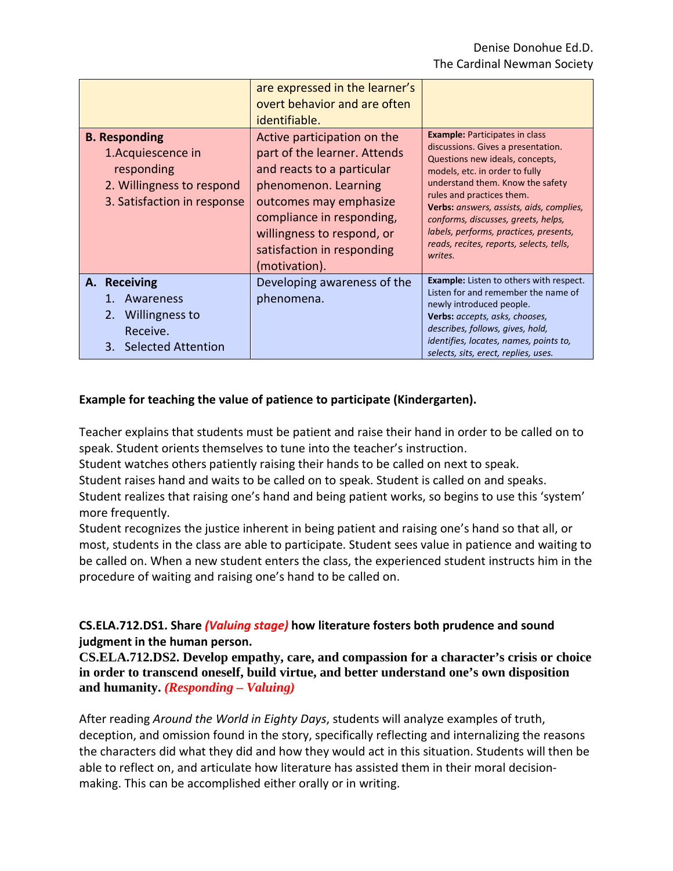|                                                                                                                      | are expressed in the learner's<br>overt behavior and are often<br>identifiable.                                                                                                                                                                       |                                                                                                                                                                                                                                                                                                                                                                                                       |
|----------------------------------------------------------------------------------------------------------------------|-------------------------------------------------------------------------------------------------------------------------------------------------------------------------------------------------------------------------------------------------------|-------------------------------------------------------------------------------------------------------------------------------------------------------------------------------------------------------------------------------------------------------------------------------------------------------------------------------------------------------------------------------------------------------|
| <b>B. Responding</b><br>1. Acquiescence in<br>responding<br>2. Willingness to respond<br>3. Satisfaction in response | Active participation on the<br>part of the learner. Attends<br>and reacts to a particular<br>phenomenon. Learning<br>outcomes may emphasize<br>compliance in responding,<br>willingness to respond, or<br>satisfaction in responding<br>(motivation). | <b>Example:</b> Participates in class<br>discussions. Gives a presentation.<br>Questions new ideals, concepts,<br>models, etc. in order to fully<br>understand them. Know the safety<br>rules and practices them.<br>Verbs: answers, assists, aids, complies,<br>conforms, discusses, greets, helps,<br>labels, performs, practices, presents,<br>reads, recites, reports, selects, tells,<br>writes. |
| A. Receiving<br>Awareness<br>2. Willingness to<br>Receive.<br>3. Selected Attention                                  | Developing awareness of the<br>phenomena.                                                                                                                                                                                                             | <b>Example:</b> Listen to others with respect.<br>Listen for and remember the name of<br>newly introduced people.<br>Verbs: accepts, asks, chooses,<br>describes, follows, gives, hold,<br>identifies, locates, names, points to,<br>selects, sits, erect, replies, uses.                                                                                                                             |

## **Example for teaching the value of patience to participate (Kindergarten).**

Teacher explains that students must be patient and raise their hand in order to be called on to speak. Student orients themselves to tune into the teacher's instruction.

Student watches others patiently raising their hands to be called on next to speak.

Student raises hand and waits to be called on to speak. Student is called on and speaks.

Student realizes that raising one's hand and being patient works, so begins to use this 'system' more frequently.

Student recognizes the justice inherent in being patient and raising one's hand so that all, or most, students in the class are able to participate. Student sees value in patience and waiting to be called on. When a new student enters the class, the experienced student instructs him in the procedure of waiting and raising one's hand to be called on.

## **CS.ELA.712.DS1. Share** *(Valuing stage)* **how literature fosters both prudence and sound judgment in the human person.**

**CS.ELA.712.DS2. Develop empathy, care, and compassion for a character's crisis or choice in order to transcend oneself, build virtue, and better understand one's own disposition and humanity.** *(Responding – Valuing)*

After reading *Around the World in Eighty Days*, students will analyze examples of truth, deception, and omission found in the story, specifically reflecting and internalizing the reasons the characters did what they did and how they would act in this situation. Students will then be able to reflect on, and articulate how literature has assisted them in their moral decisionmaking. This can be accomplished either orally or in writing.